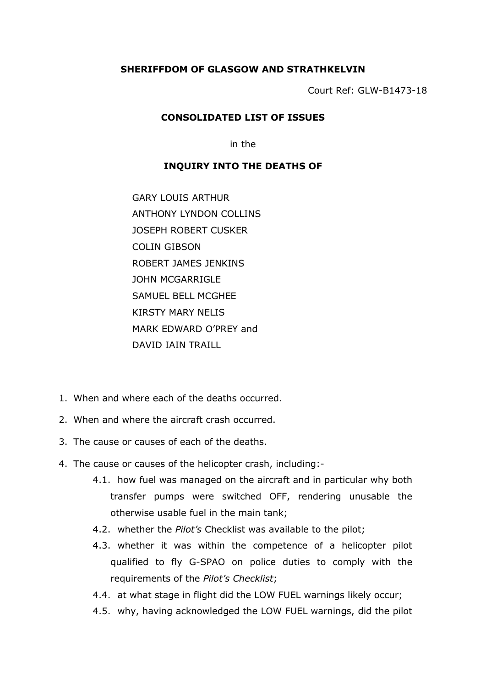## **SHERIFFDOM OF GLASGOW AND STRATHKELVIN**

Court Ref: GLW-B1473-18

## **CONSOLIDATED LIST OF ISSUES**

in the

## **INQUIRY INTO THE DEATHS OF**

GARY LOUIS ARTHUR ANTHONY LYNDON COLLINS JOSEPH ROBERT CUSKER COLIN GIBSON ROBERT JAMES JENKINS JOHN MCGARRIGLE SAMUEL BELL MCGHEE KIRSTY MARY NELIS MARK EDWARD O'PREY and DAVID IAIN TRAILL

- 1. When and where each of the deaths occurred.
- 2. When and where the aircraft crash occurred.
- 3. The cause or causes of each of the deaths.
- 4. The cause or causes of the helicopter crash, including:-
	- 4.1. how fuel was managed on the aircraft and in particular why both transfer pumps were switched OFF, rendering unusable the otherwise usable fuel in the main tank;
	- 4.2. whether the *Pilot's* Checklist was available to the pilot;
	- 4.3. whether it was within the competence of a helicopter pilot qualified to fly G-SPAO on police duties to comply with the requirements of the *Pilot's Checklist*;
	- 4.4. at what stage in flight did the LOW FUEL warnings likely occur;
	- 4.5. why, having acknowledged the LOW FUEL warnings, did the pilot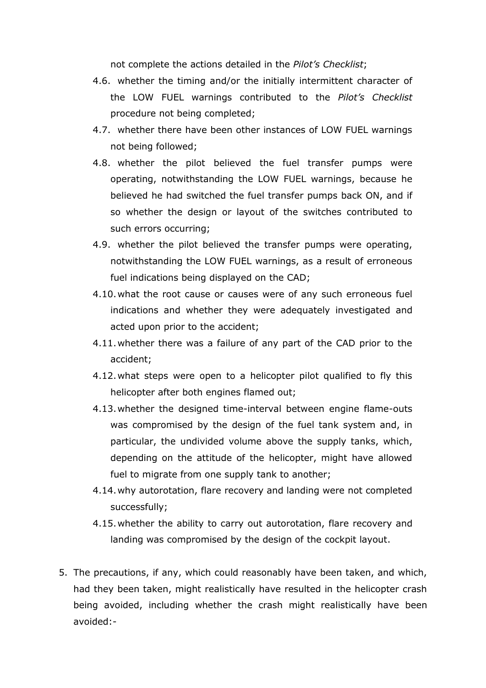not complete the actions detailed in the *Pilot's Checklist*;

- 4.6. whether the timing and/or the initially intermittent character of the LOW FUEL warnings contributed to the *Pilot's Checklist* procedure not being completed;
- 4.7. whether there have been other instances of LOW FUEL warnings not being followed;
- 4.8. whether the pilot believed the fuel transfer pumps were operating, notwithstanding the LOW FUEL warnings, because he believed he had switched the fuel transfer pumps back ON, and if so whether the design or layout of the switches contributed to such errors occurring;
- 4.9. whether the pilot believed the transfer pumps were operating, notwithstanding the LOW FUEL warnings, as a result of erroneous fuel indications being displayed on the CAD;
- 4.10.what the root cause or causes were of any such erroneous fuel indications and whether they were adequately investigated and acted upon prior to the accident;
- 4.11.whether there was a failure of any part of the CAD prior to the accident;
- 4.12.what steps were open to a helicopter pilot qualified to fly this helicopter after both engines flamed out;
- 4.13.whether the designed time-interval between engine flame-outs was compromised by the design of the fuel tank system and, in particular, the undivided volume above the supply tanks, which, depending on the attitude of the helicopter, might have allowed fuel to migrate from one supply tank to another;
- 4.14.why autorotation, flare recovery and landing were not completed successfully;
- 4.15.whether the ability to carry out autorotation, flare recovery and landing was compromised by the design of the cockpit layout.
- 5. The precautions, if any, which could reasonably have been taken, and which, had they been taken, might realistically have resulted in the helicopter crash being avoided, including whether the crash might realistically have been avoided:-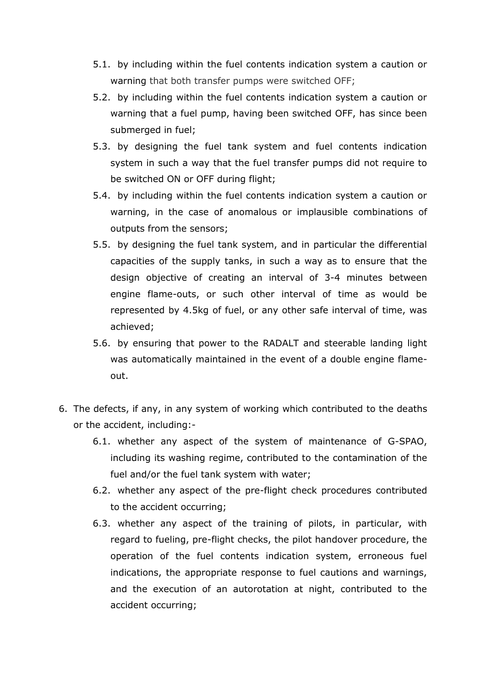- 5.1. by including within the fuel contents indication system a caution or warning that both transfer pumps were switched OFF;
- 5.2. by including within the fuel contents indication system a caution or warning that a fuel pump, having been switched OFF, has since been submerged in fuel;
- 5.3. by designing the fuel tank system and fuel contents indication system in such a way that the fuel transfer pumps did not require to be switched ON or OFF during flight;
- 5.4. by including within the fuel contents indication system a caution or warning, in the case of anomalous or implausible combinations of outputs from the sensors;
- 5.5. by designing the fuel tank system, and in particular the differential capacities of the supply tanks, in such a way as to ensure that the design objective of creating an interval of 3-4 minutes between engine flame-outs, or such other interval of time as would be represented by 4.5kg of fuel, or any other safe interval of time, was achieved;
- 5.6. by ensuring that power to the RADALT and steerable landing light was automatically maintained in the event of a double engine flameout.
- 6. The defects, if any, in any system of working which contributed to the deaths or the accident, including:-
	- 6.1. whether any aspect of the system of maintenance of G-SPAO, including its washing regime, contributed to the contamination of the fuel and/or the fuel tank system with water;
	- 6.2. whether any aspect of the pre-flight check procedures contributed to the accident occurring;
	- 6.3. whether any aspect of the training of pilots, in particular, with regard to fueling, pre-flight checks, the pilot handover procedure, the operation of the fuel contents indication system, erroneous fuel indications, the appropriate response to fuel cautions and warnings, and the execution of an autorotation at night, contributed to the accident occurring;